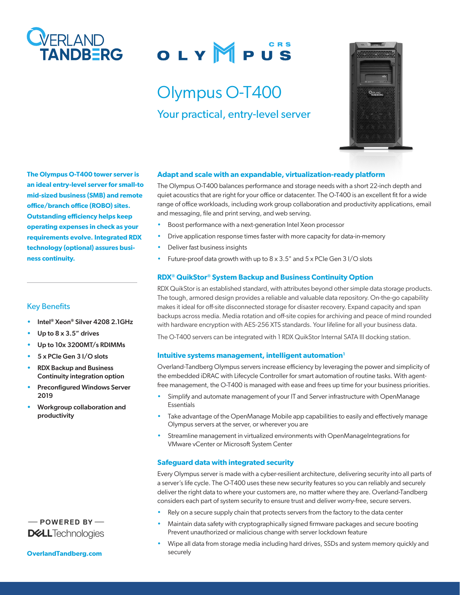

# OLYMPUS

## Olympus O-T400 Your practical, entry-level server



**The Olympus O-T400 tower server is an ideal entry-level server for small-to mid-sized business (SMB) and remote office/branch office (ROBO) sites. Outstanding efficiency helps keep operating expenses in check as your requirements evolve. Integrated RDX technology (optional) assures business continuity.**

#### Key Benefits

- Intel® Xeon® Silver 4208 2.1GHz
- Up to  $8 \times 3.5$ " drives
- Up to 10x 3200MT/s RDIMMs
- 5 x PCIe Gen 3 I/O slots
- RDX Backup and Business Continuity integration option
- Preconfigured Windows Server 2019
- Workgroup collaboration and productivity

### $-$  POWERED BY-**DELL**Technologies

**[OverlandTandberg.com](http://www.overlandtandberg.com)**

#### **Adapt and scale with an expandable, virtualization-ready platform**

The Olympus O-T400 balances performance and storage needs with a short 22-inch depth and quiet acoustics that are right for your office or datacenter. The O-T400 is an excellent fit for a wide range of office workloads, including work group collaboration and productivity applications, email and messaging, file and print serving, and web serving.

- Boost performance with a next-generation Intel Xeon processor
- Drive application response times faster with more capacity for data-in-memory
- Deliver fast business insights
- Future-proof data growth with up to  $8 \times 3.5$ " and  $5 \times$  PCIe Gen 3 I/O slots

#### **RDX® QuikStor® System Backup and Business Continuity Option**

RDX QuikStor is an established standard, with attributes beyond other simple data storage products. The tough, armored design provides a reliable and valuable data repository. On-the-go capability makes it ideal for off-site disconnected storage for disaster recovery. Expand capacity and span backups across media. Media rotation and off-site copies for archiving and peace of mind rounded with hardware encryption with AES-256 XTS standards. Your lifeline for all your business data.

The O-T400 servers can be integrated with 1 RDX QuikStor Internal SATA III docking station.

#### Intuitive systems management, intelligent automation<sup>1</sup>

Overland-Tandberg Olympus servers increase efficiency by leveraging the power and simplicity of the embedded iDRAC with Lifecycle Controller for smart automation of routine tasks. With agentfree management, the O-T400 is managed with ease and frees up time for your business priorities.

- Simplify and automate management of your IT and Server infrastructure with OpenManage **Essentials**
- Take advantage of the OpenManage Mobile app capabilities to easily and effectively manage Olympus servers at the server, or wherever you are
- Streamline management in virtualized environments with OpenManageIntegrations for VMware vCenter or Microsoft System Center

#### **Safeguard data with integrated security**

Every Olympus server is made with a cyber-resilient architecture, delivering security into all parts of a server's life cycle. The O-T400 uses these new security features so you can reliably and securely deliver the right data to where your customers are, no matter where they are. Overland-Tandberg considers each part of system security to ensure trust and deliver worry-free, secure servers.

- Rely on a secure supply chain that protects servers from the factory to the data center
- Maintain data safety with cryptographically signed firmware packages and secure booting Prevent unauthorized or malicious change with server lockdown feature
- Wipe all data from storage media including hard drives, SSDs and system memory quickly and securely